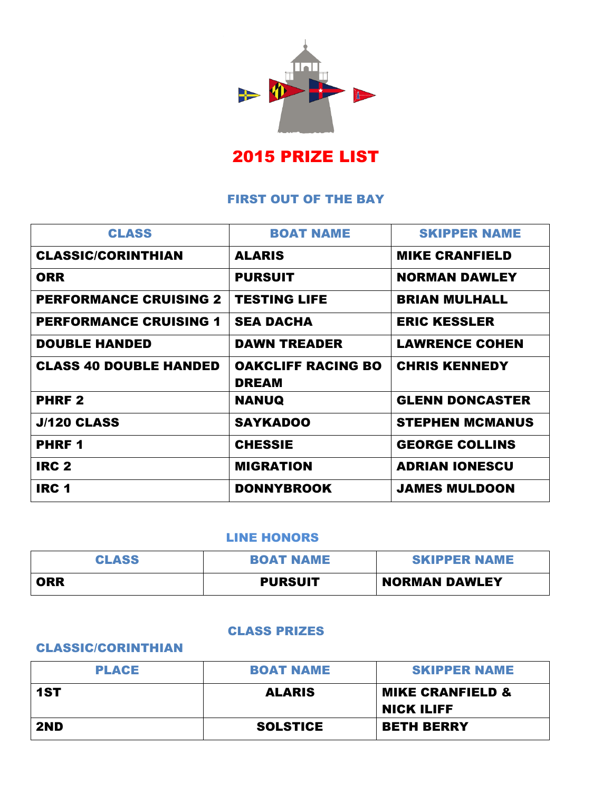

# 2015 PRIZE LIST

## FIRST OUT OF THE BAY

| <b>CLASS</b>                  | <b>BOAT NAME</b>                          | <b>SKIPPER NAME</b>    |
|-------------------------------|-------------------------------------------|------------------------|
| <b>CLASSIC/CORINTHIAN</b>     | <b>ALARIS</b>                             | <b>MIKE CRANFIELD</b>  |
| <b>ORR</b>                    | <b>PURSUIT</b>                            | <b>NORMAN DAWLEY</b>   |
| <b>PERFORMANCE CRUISING 2</b> | <b>TESTING LIFE</b>                       | <b>BRIAN MULHALL</b>   |
| <b>PERFORMANCE CRUISING 1</b> | <b>SEA DACHA</b>                          | <b>ERIC KESSLER</b>    |
| <b>DOUBLE HANDED</b>          | <b>DAWN TREADER</b>                       | <b>LAWRENCE COHEN</b>  |
| <b>CLASS 40 DOUBLE HANDED</b> | <b>OAKCLIFF RACING BO</b><br><b>DREAM</b> | <b>CHRIS KENNEDY</b>   |
| <b>PHRF2</b>                  | <b>NANUQ</b>                              | <b>GLENN DONCASTER</b> |
| <b>J/120 CLASS</b>            | <b>SAYKADOO</b>                           | <b>STEPHEN MCMANUS</b> |
| <b>PHRF1</b>                  | <b>CHESSIE</b>                            | <b>GEORGE COLLINS</b>  |
| IRC <sub>2</sub>              | <b>MIGRATION</b>                          | <b>ADRIAN IONESCU</b>  |
| <b>IRC 1</b>                  | <b>DONNYBROOK</b>                         | <b>JAMES MULDOON</b>   |

#### LINE HONORS

| <b>CLASS</b> | <b>BOAT NAME</b> | <b>SKIPPER NAME</b>  |
|--------------|------------------|----------------------|
| <b>ORR</b>   | <b>PURSUIT</b>   | <b>NORMAN DAWLEY</b> |

### CLASS PRIZES

## CLASSIC/CORINTHIAN

| <b>PLACE</b> | <b>BOAT NAME</b> | <b>SKIPPER NAME</b>         |
|--------------|------------------|-----------------------------|
| 1ST          | <b>ALARIS</b>    | <b>MIKE CRANFIELD &amp;</b> |
|              |                  | <b>NICK ILIFF</b>           |
| 2ND          | <b>SOLSTICE</b>  | <b>BETH BERRY</b>           |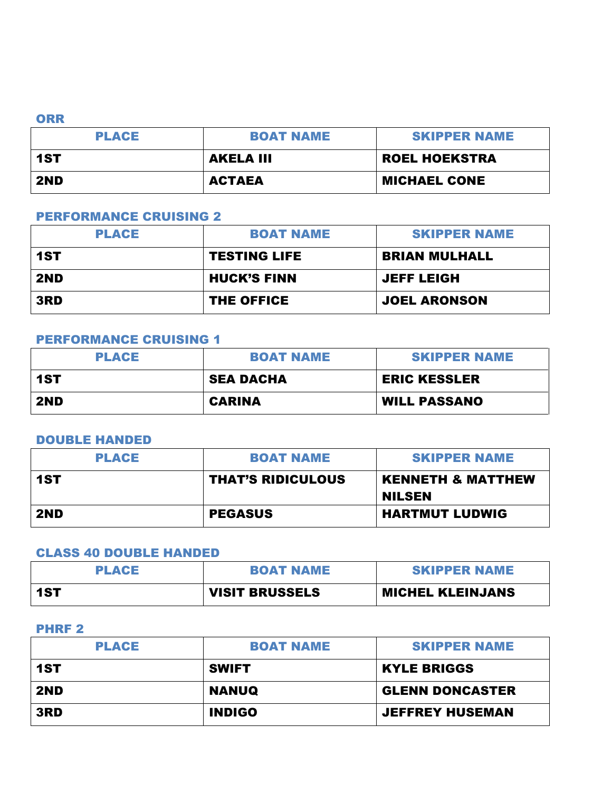#### **ORR**

| <b>PLACE</b> | <b>BOAT NAME</b> | <b>SKIPPER NAME</b>  |
|--------------|------------------|----------------------|
| 1ST          | <b>AKELA III</b> | <b>ROEL HOEKSTRA</b> |
| 2ND          | <b>ACTAEA</b>    | <b>MICHAEL CONE</b>  |

## PERFORMANCE CRUISING 2

| <b>PLACE</b> | <b>BOAT NAME</b>    | <b>SKIPPER NAME</b>  |
|--------------|---------------------|----------------------|
| 1ST          | <b>TESTING LIFE</b> | <b>BRIAN MULHALL</b> |
| 2ND          | <b>HUCK'S FINN</b>  | <b>JEFF LEIGH</b>    |
| 3RD          | THE OFFICE          | <b>JOEL ARONSON</b>  |

#### PERFORMANCE CRUISING 1

| <b>PLACE</b> | <b>BOAT NAME</b> | <b>SKIPPER NAME</b> |
|--------------|------------------|---------------------|
| 1ST          | <b>SEA DACHA</b> | <b>ERIC KESSLER</b> |
| 2ND          | <b>CARINA</b>    | <b>WILL PASSANO</b> |

#### DOUBLE HANDED

| <b>PLACE</b> | <b>BOAT NAME</b>         | <b>SKIPPER NAME</b>                           |
|--------------|--------------------------|-----------------------------------------------|
| 1ST          | <b>THAT'S RIDICULOUS</b> | <b>KENNETH &amp; MATTHEW</b><br><b>NILSEN</b> |
| 2ND          | <b>PEGASUS</b>           | <b>HARTMUT LUDWIG</b>                         |

### CLASS 40 DOUBLE HANDED

| <b>PLACE</b> | <b>BOAT NAME</b>      | <b>SKIPPER NAME</b>     |
|--------------|-----------------------|-------------------------|
| $-1ST$       | <b>VISIT BRUSSELS</b> | <b>MICHEL KLEINJANS</b> |

### PHRF 2

| <b>PLACE</b> | <b>BOAT NAME</b> | <b>SKIPPER NAME</b>    |
|--------------|------------------|------------------------|
| 1ST          | <b>SWIFT</b>     | <b>KYLE BRIGGS</b>     |
| 2ND          | <b>NANUQ</b>     | <b>GLENN DONCASTER</b> |
| 3RD          | <b>INDIGO</b>    | <b>JEFFREY HUSEMAN</b> |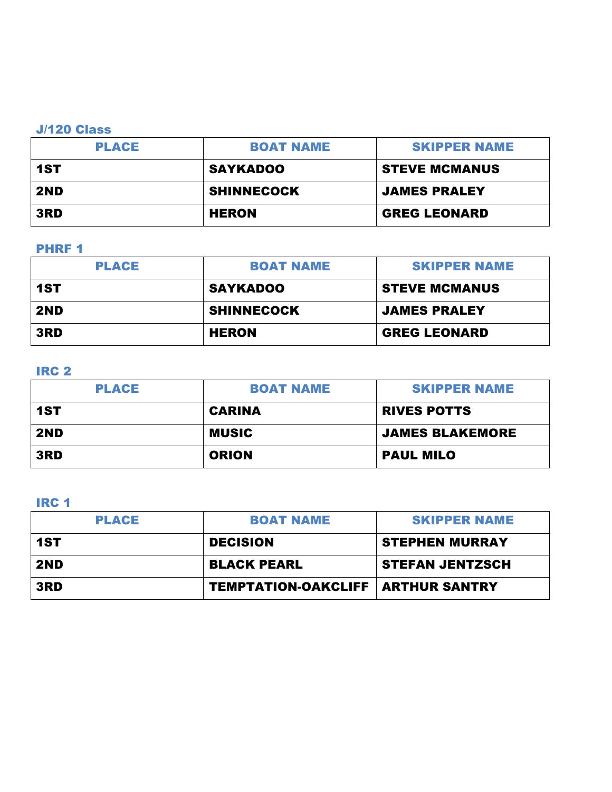### J/120 Class

| <b>PLACE</b> | <b>BOAT NAME</b>  | <b>SKIPPER NAME</b>  |
|--------------|-------------------|----------------------|
| 1ST          | <b>SAYKADOO</b>   | <b>STEVE MCMANUS</b> |
| 2ND          | <b>SHINNECOCK</b> | <b>JAMES PRALEY</b>  |
| 3RD          | HERON             | <b>GREG LEONARD</b>  |

### PHRF<sub>1</sub>

| <b>PLACE</b> | <b>BOAT NAME</b>  | <b>SKIPPER NAME</b>  |
|--------------|-------------------|----------------------|
| 1ST          | <b>SAYKADOO</b>   | <b>STEVE MCMANUS</b> |
| 2ND          | <b>SHINNECOCK</b> | <b>JAMES PRALEY</b>  |
| 3RD          | <b>HERON</b>      | <b>GREG LEONARD</b>  |

## IRC 2

| <b>PLACE</b> | <b>BOAT NAME</b> | <b>SKIPPER NAME</b>    |
|--------------|------------------|------------------------|
| 1ST          | <b>CARINA</b>    | <b>RIVES POTTS</b>     |
| 2ND          | <b>MUSIC</b>     | <b>JAMES BLAKEMORE</b> |
| 3RD          | <b>ORION</b>     | <b>PAUL MILO</b>       |

## IRC 1

| <b>PLACE</b> | <b>BOAT NAME</b>                           | <b>SKIPPER NAME</b>    |
|--------------|--------------------------------------------|------------------------|
| 1ST          | <b>DECISION</b>                            | <b>STEPHEN MURRAY</b>  |
| 2ND          | <b>BLACK PEARL</b>                         | <b>STEFAN JENTZSCH</b> |
| 3RD          | <b>TEMPTATION-OAKCLIFF   ARTHUR SANTRY</b> |                        |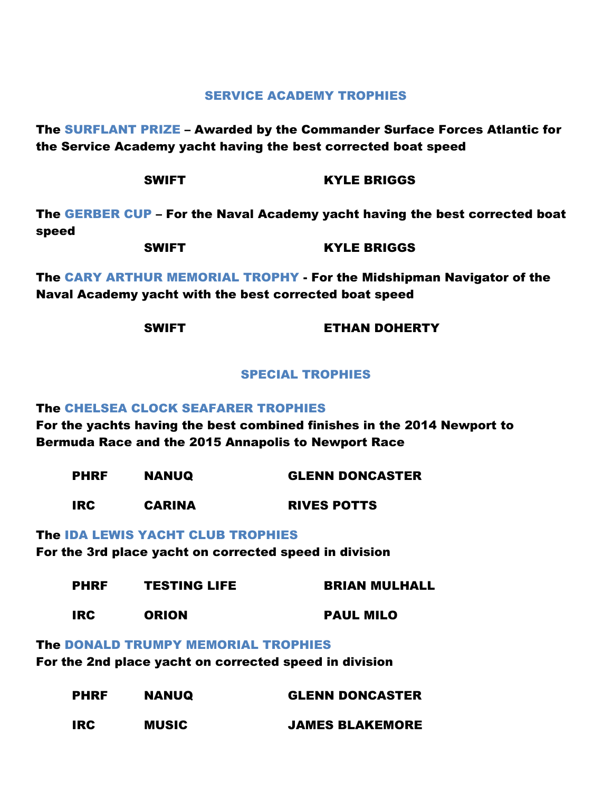#### SERVICE ACADEMY TROPHIES

The SURFLANT PRIZE – Awarded by the Commander Surface Forces Atlantic for the Service Academy yacht having the best corrected boat speed

| <b>SWIFT</b> |  | <b>KYLE BRIGGS</b> |
|--------------|--|--------------------|
|--------------|--|--------------------|

The GERBER CUP – For the Naval Academy yacht having the best corrected boat speed

| <b>SWIFT</b> | <b>KYLE BRIGGS</b> |
|--------------|--------------------|
|              |                    |

The CARY ARTHUR MEMORIAL TROPHY - For the Midshipman Navigator of the Naval Academy yacht with the best corrected boat speed

SWIFT **ETHAN DOHERTY** 

#### SPECIAL TROPHIES

#### The CHELSEA CLOCK SEAFARER TROPHIES

For the yachts having the best combined finishes in the 2014 Newport to Bermuda Race and the 2015 Annapolis to Newport Race

| <b>PHRF</b> | <b>NANUQ</b>  | <b>GLENN DONCASTER</b> |
|-------------|---------------|------------------------|
| <b>IRC</b>  | <b>CARINA</b> | <b>RIVES POTTS</b>     |

#### The IDA LEWIS YACHT CLUB TROPHIES

For the 3rd place yacht on corrected speed in division

| <b>PHRF</b> | <b>TESTING LIFE</b> | <b>BRIAN MULHALL</b> |
|-------------|---------------------|----------------------|
| <b>IRC</b>  | <b>ORION</b>        | <b>PAUL MILO</b>     |

The DONALD TRUMPY MEMORIAL TROPHIES

For the 2nd place yacht on corrected speed in division

| <b>PHRF</b><br><b>NANUQ</b> | <b>GLENN DONCASTER</b> |                        |
|-----------------------------|------------------------|------------------------|
| <b>IRC</b>                  | <b>MUSIC</b>           | <b>JAMES BLAKEMORE</b> |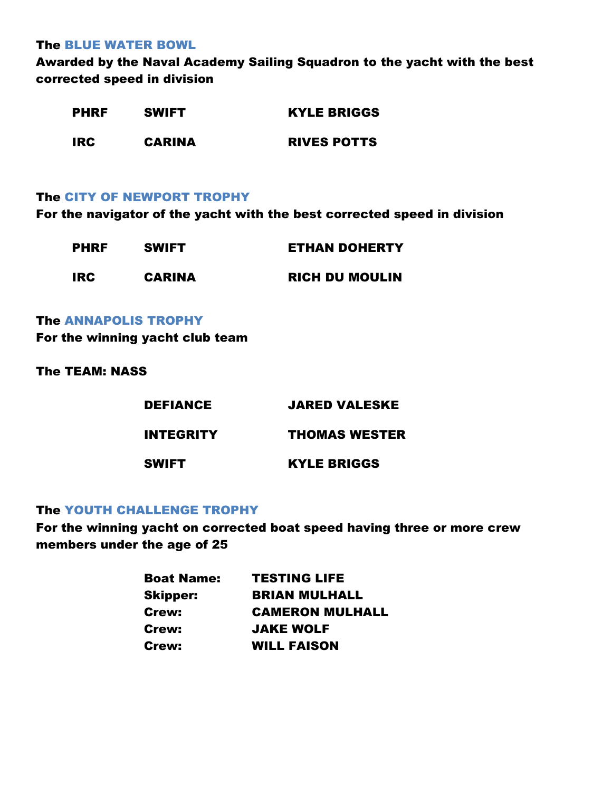The BLUE WATER BOWL

Awarded by the Naval Academy Sailing Squadron to the yacht with the best corrected speed in division

| <b>PHRF</b> | <b>SWIFT</b>  | <b>KYLE BRIGGS</b> |  |
|-------------|---------------|--------------------|--|
| <b>IRC</b>  | <b>CARINA</b> | <b>RIVES POTTS</b> |  |

#### The CITY OF NEWPORT TROPHY

For the navigator of the yacht with the best corrected speed in division

| <b>PHRF</b> | <b>SWIFT</b>  | <b>ETHAN DOHERTY</b>  |  |
|-------------|---------------|-----------------------|--|
| IRC         | <b>CARINA</b> | <b>RICH DU MOULIN</b> |  |

The ANNAPOLIS TROPHY

For the winning yacht club team

The TEAM: NASS

| <b>DEFIANCE</b>  | <b>JARED VALESKE</b> |
|------------------|----------------------|
| <b>INTEGRITY</b> | THOMAS WESTER        |
| <b>SWIFT</b>     | <b>KYLE BRIGGS</b>   |

### The YOUTH CHALLENGE TROPHY

For the winning yacht on corrected boat speed having three or more crew members under the age of 25

| <b>Boat Name:</b> | <b>TESTING LIFE</b>    |
|-------------------|------------------------|
| <b>Skipper:</b>   | <b>BRIAN MULHALL</b>   |
| Crew:             | <b>CAMERON MULHALL</b> |
| Crew:             | <b>JAKE WOLF</b>       |
| <b>Crew:</b>      | <b>WILL FAISON</b>     |